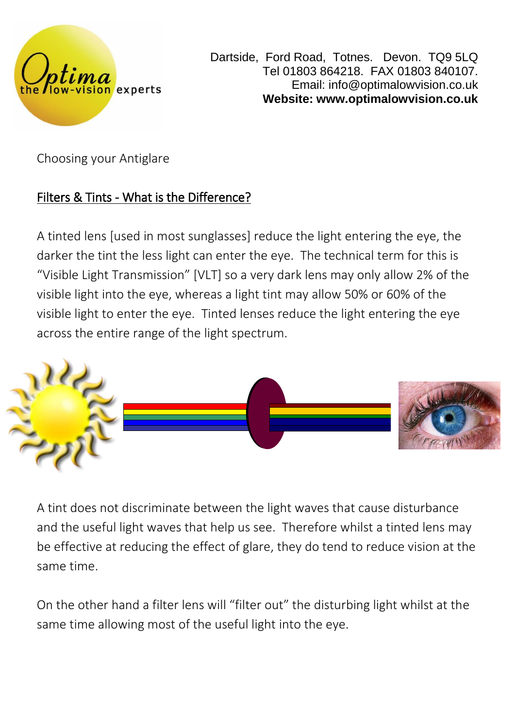

Dartside, Ford Road, Totnes. Devon. TQ9 5LQ Tel 01803 864218. FAX 01803 840107. Email: info@optimalowvision.co.uk **Website: www.optimalowvision.co.uk**

Choosing your Antiglare

# Filters & Tints - What is the Difference?

A tinted lens [used in most sunglasses] reduce the light entering the eye, the darker the tint the less light can enter the eye. The technical term for this is "Visible Light Transmission" [VLT] so a very dark lens may only allow 2% of the visible light into the eye, whereas a light tint may allow 50% or 60% of the visible light to enter the eye. Tinted lenses reduce the light entering the eye across the entire range of the light spectrum.



A tint does not discriminate between the light waves that cause disturbance and the useful light waves that help us see. Therefore whilst a tinted lens may be effective at reducing the effect of glare, they do tend to reduce vision at the same time.

On the other hand a filter lens will "filter out" the disturbing light whilst at the same time allowing most of the useful light into the eye.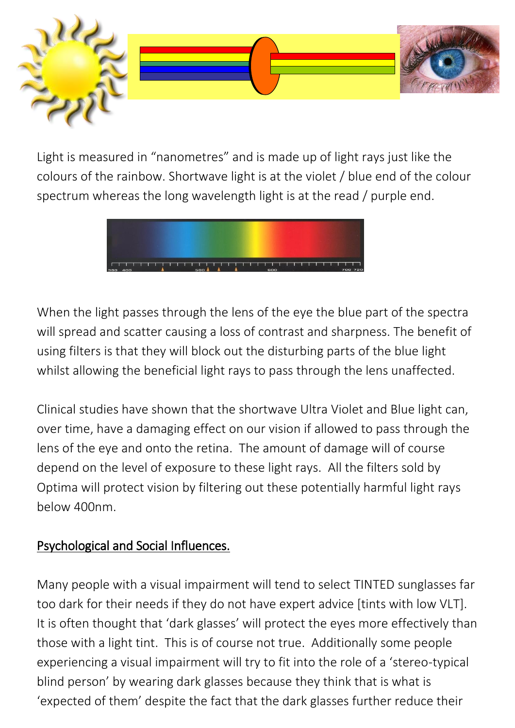

Light is measured in "nanometres" and is made up of light rays just like the colours of the rainbow. Shortwave light is at the violet / blue end of the colour spectrum whereas the long wavelength light is at the read / purple end.



When the light passes through the lens of the eye the blue part of the spectra will spread and scatter causing a loss of contrast and sharpness. The benefit of using filters is that they will block out the disturbing parts of the blue light whilst allowing the beneficial light rays to pass through the lens unaffected.

Clinical studies have shown that the shortwave Ultra Violet and Blue light can, over time, have a damaging effect on our vision if allowed to pass through the lens of the eye and onto the retina. The amount of damage will of course depend on the level of exposure to these light rays. All the filters sold by Optima will protect vision by filtering out these potentially harmful light rays below 400nm.

#### Psychological and Social Influences.

Many people with a visual impairment will tend to select TINTED sunglasses far too dark for their needs if they do not have expert advice [tints with low VLT]. It is often thought that 'dark glasses' will protect the eyes more effectively than those with a light tint. This is of course not true. Additionally some people experiencing a visual impairment will try to fit into the role of a 'stereo-typical blind person' by wearing dark glasses because they think that is what is 'expected of them' despite the fact that the dark glasses further reduce their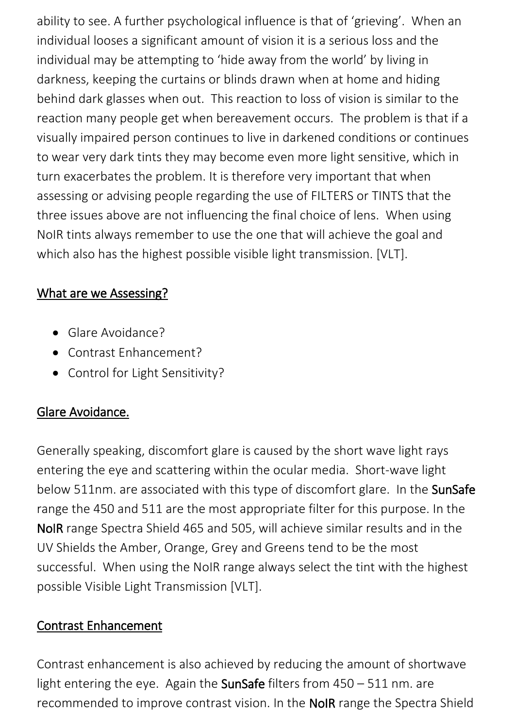ability to see. A further psychological influence is that of 'grieving'. When an individual looses a significant amount of vision it is a serious loss and the individual may be attempting to 'hide away from the world' by living in darkness, keeping the curtains or blinds drawn when at home and hiding behind dark glasses when out. This reaction to loss of vision is similar to the reaction many people get when bereavement occurs. The problem is that if a visually impaired person continues to live in darkened conditions or continues to wear very dark tints they may become even more light sensitive, which in turn exacerbates the problem. It is therefore very important that when assessing or advising people regarding the use of FILTERS or TINTS that the three issues above are not influencing the final choice of lens. When using NoIR tints always remember to use the one that will achieve the goal and which also has the highest possible visible light transmission. [VLT].

## What are we Assessing?

- Glare Avoidance?
- Contrast Enhancement?
- Control for Light Sensitivity?

#### Glare Avoidance.

Generally speaking, discomfort glare is caused by the short wave light rays entering the eye and scattering within the ocular media. Short-wave light below 511nm. are associated with this type of discomfort glare. In the SunSafe range the 450 and 511 are the most appropriate filter for this purpose. In the NoIR range Spectra Shield 465 and 505, will achieve similar results and in the UV Shields the Amber, Orange, Grey and Greens tend to be the most successful. When using the NoIR range always select the tint with the highest possible Visible Light Transmission [VLT].

#### Contrast Enhancement

Contrast enhancement is also achieved by reducing the amount of shortwave light entering the eye. Again the SunSafe filters from  $450 - 511$  nm. are recommended to improve contrast vision. In the NoIR range the Spectra Shield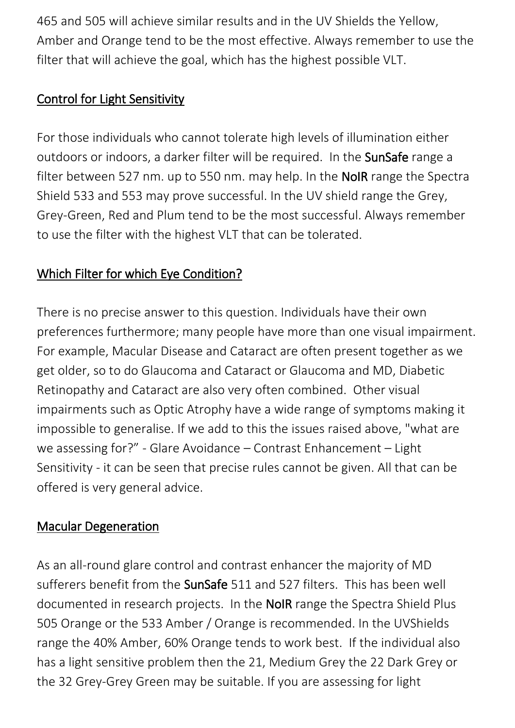465 and 505 will achieve similar results and in the UV Shields the Yellow, Amber and Orange tend to be the most effective. Always remember to use the filter that will achieve the goal, which has the highest possible VLT.

### Control for Light Sensitivity

For those individuals who cannot tolerate high levels of illumination either outdoors or indoors, a darker filter will be required. In the SunSafe range a filter between 527 nm. up to 550 nm. may help. In the **NoIR** range the Spectra Shield 533 and 553 may prove successful. In the UV shield range the Grey, Grey-Green, Red and Plum tend to be the most successful. Always remember to use the filter with the highest VLT that can be tolerated.

# Which Filter for which Eye Condition?

There is no precise answer to this question. Individuals have their own preferences furthermore; many people have more than one visual impairment. For example, Macular Disease and Cataract are often present together as we get older, so to do Glaucoma and Cataract or Glaucoma and MD, Diabetic Retinopathy and Cataract are also very often combined. Other visual impairments such as Optic Atrophy have a wide range of symptoms making it impossible to generalise. If we add to this the issues raised above, "what are we assessing for?" - Glare Avoidance – Contrast Enhancement – Light Sensitivity - it can be seen that precise rules cannot be given. All that can be offered is very general advice.

#### Macular Degeneration

As an all-round glare control and contrast enhancer the majority of MD sufferers benefit from the SunSafe 511 and 527 filters. This has been well documented in research projects. In the NoIR range the Spectra Shield Plus 505 Orange or the 533 Amber / Orange is recommended. In the UVShields range the 40% Amber, 60% Orange tends to work best. If the individual also has a light sensitive problem then the 21, Medium Grey the 22 Dark Grey or the 32 Grey-Grey Green may be suitable. If you are assessing for light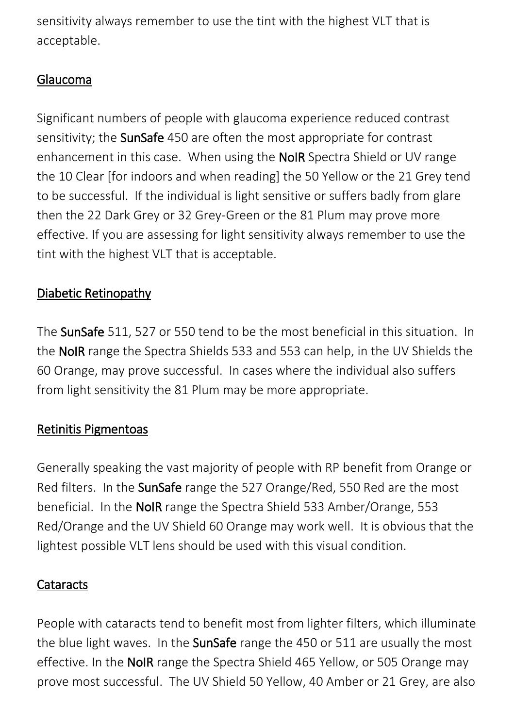sensitivity always remember to use the tint with the highest VLT that is acceptable.

### Glaucoma

Significant numbers of people with glaucoma experience reduced contrast sensitivity; the SunSafe 450 are often the most appropriate for contrast enhancement in this case. When using the NoIR Spectra Shield or UV range the 10 Clear [for indoors and when reading] the 50 Yellow or the 21 Grey tend to be successful. If the individual is light sensitive or suffers badly from glare then the 22 Dark Grey or 32 Grey-Green or the 81 Plum may prove more effective. If you are assessing for light sensitivity always remember to use the tint with the highest VLT that is acceptable.

## Diabetic Retinopathy

The SunSafe 511, 527 or 550 tend to be the most beneficial in this situation. In the NoIR range the Spectra Shields 533 and 553 can help, in the UV Shields the 60 Orange, may prove successful. In cases where the individual also suffers from light sensitivity the 81 Plum may be more appropriate.

#### Retinitis Pigmentoas

Generally speaking the vast majority of people with RP benefit from Orange or Red filters. In the SunSafe range the 527 Orange/Red, 550 Red are the most beneficial. In the NoIR range the Spectra Shield 533 Amber/Orange, 553 Red/Orange and the UV Shield 60 Orange may work well. It is obvious that the lightest possible VLT lens should be used with this visual condition.

#### **Cataracts**

People with cataracts tend to benefit most from lighter filters, which illuminate the blue light waves. In the SunSafe range the 450 or 511 are usually the most effective. In the NoIR range the Spectra Shield 465 Yellow, or 505 Orange may prove most successful. The UV Shield 50 Yellow, 40 Amber or 21 Grey, are also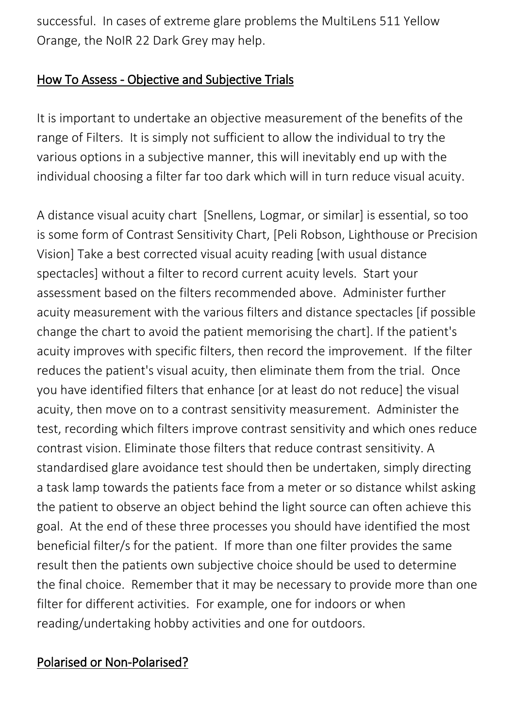successful. In cases of extreme glare problems the MultiLens 511 Yellow Orange, the NoIR 22 Dark Grey may help.

#### How To Assess - Objective and Subjective Trials

It is important to undertake an objective measurement of the benefits of the range of Filters. It is simply not sufficient to allow the individual to try the various options in a subjective manner, this will inevitably end up with the individual choosing a filter far too dark which will in turn reduce visual acuity.

A distance visual acuity chart [Snellens, Logmar, or similar] is essential, so too is some form of Contrast Sensitivity Chart, [Peli Robson, Lighthouse or Precision Vision] Take a best corrected visual acuity reading [with usual distance spectacles] without a filter to record current acuity levels. Start your assessment based on the filters recommended above. Administer further acuity measurement with the various filters and distance spectacles [if possible change the chart to avoid the patient memorising the chart]. If the patient's acuity improves with specific filters, then record the improvement. If the filter reduces the patient's visual acuity, then eliminate them from the trial. Once you have identified filters that enhance [or at least do not reduce] the visual acuity, then move on to a contrast sensitivity measurement. Administer the test, recording which filters improve contrast sensitivity and which ones reduce contrast vision. Eliminate those filters that reduce contrast sensitivity. A standardised glare avoidance test should then be undertaken, simply directing a task lamp towards the patients face from a meter or so distance whilst asking the patient to observe an object behind the light source can often achieve this goal. At the end of these three processes you should have identified the most beneficial filter/s for the patient. If more than one filter provides the same result then the patients own subjective choice should be used to determine the final choice. Remember that it may be necessary to provide more than one filter for different activities. For example, one for indoors or when reading/undertaking hobby activities and one for outdoors.

#### Polarised or Non-Polarised?